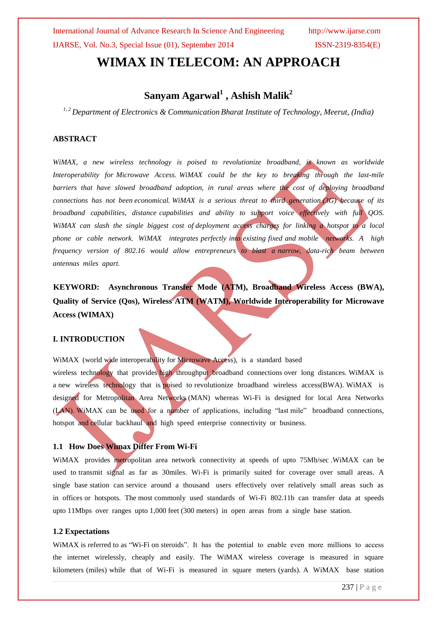# **WIMAX IN TELECOM: AN APPROACH**

### **Sanyam Agarwal<sup>1</sup> , Ashish Malik<sup>2</sup>**

*1, 2 Department of Electronics & Communication Bharat Institute of Technology, Meerut, (India)*

#### **ABSTRACT**

*WiMAX, a new wireless technology is poised to revolutionize broadband, is known as worldwide Interoperability for Microwave Access. WiMAX could be the key to breaking through the last-mile barriers that have slowed broadband adoption, in rural areas where the cost of deploying broadband connections has not been economical. WiMAX is a serious threat to third generation (3G) because of its broadband capabilities, distance capabilities and ability to support voice effectively with full QOS. WiMAX can slash the single biggest cost of deployment access charges for linking a hotspot to a local phone or cable network. WiMAX integrates perfectly into existing fixed and mobile networks. A high frequency version of 802.16 would allow entrepreneurs to blast a narrow, data-rich beam between antennas miles apart.*

**KEYWORD: Asynchronous Transfer Mode (ATM), Broadband Wireless Access (BWA), Quality of Service (Qos), Wireless ATM (WATM), Worldwide Interoperability for Microwave Access (WIMAX)**

### **I. INTRODUCTION**

WiMAX (world wide interoperability for Microwave Access), is a standard based wireless technology that provides high throughput broadband connections over long distances. WiMAX is a new wireless technology that is poised to revolutionize broadband wireless access(BWA). WiMAX is designed for Metropolitan Area Networks (MAN) whereas Wi-Fi is designed for local Area Networks (LAN). WiMAX can be used for a number of applications, including "last mile" broadband connections, hotspot and cellular backhaul and high speed enterprise connectivity or business.

### **1.1 How Does Wimax Differ From Wi-Fi**

WiMAX provides metropolitan area network connectivity at speeds of upto 75Mb/sec .WiMAX can be used to transmit signal as far as 30miles. Wi-Fi is primarily suited for coverage over small areas. A single base station can service around a thousand users effectively over relatively small areas such as in offices or hotspots. The most commonly used standards of Wi-Fi 802.11b can transfer data at speeds upto 11Mbps over ranges upto 1,000 feet (300 meters) in open areas from a single base station.

#### **1.2 Expectations**

WiMAX is referred to as "Wi-Fi on steroids". It has the potential to enable even more millions to access the internet wirelessly, cheaply and easily. The WiMAX wireless coverage is measured in square kilometers (miles) while that of Wi-Fi is measured in square meters (yards). A WiMAX base station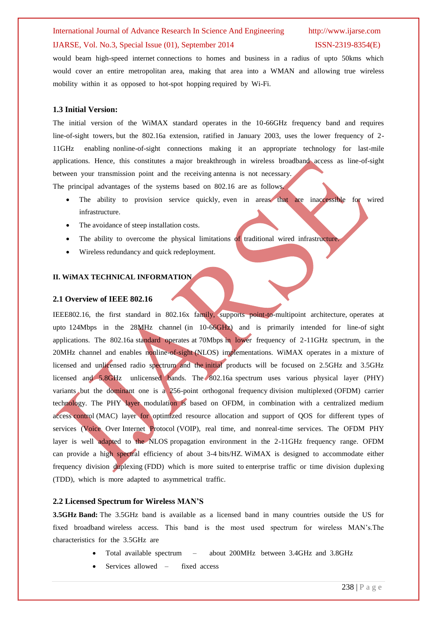### International Journal of Advance Research In Science And Engineering http://www.ijarse.com IJARSE, Vol. No.3, Special Issue (01), September 2014 ISSN-2319-8354(E)

would beam high-speed internet connections to homes and business in a radius of upto 50kms which would cover an entire metropolitan area, making that area into a WMAN and allowing true wireless mobility within it as opposed to hot-spot hopping required by Wi-Fi.

#### **1.3 Initial Version:**

The initial version of the WiMAX standard operates in the 10-66GHz frequency band and requires line-of-sight towers, but the 802.16a extension, ratified in January 2003, uses the lower frequency of 2- 11GHz enabling nonline-of-sight connections making it an appropriate technology for last-mile applications. Hence, this constitutes a major breakthrough in wireless broadband access as line-of-sight between your transmission point and the receiving antenna is not necessary.

The principal advantages of the systems based on 802.16 are as follows.

- The ability to provision service quickly, even in areas that are inaccessible for wired infrastructure.
- The avoidance of steep installation costs.
- The ability to overcome the physical limitations of traditional wired infrastructure.
- Wireless redundancy and quick redeployment.

#### **II. WiMAX TECHNICAL INFORMATION**

#### **2.1 Overview of IEEE 802.16**

IEEE802.16, the first standard in 802.16x family, supports point-to-multipoint architecture, operates at upto 124Mbps in the 28MHz channel (in 10-66GHz) and is primarily intended for line-of sight applications. The 802.16a standard operates at 70Mbps in lower frequency of 2-11GHz spectrum, in the 20MHz channel and enables nonline-of-sight (NLOS) implementations. WiMAX operates in a mixture of licensed and unlicensed radio spectrum and the initial products will be focused on 2.5GHz and 3.5GHz licensed and 5.8GHz unlicensed bands. The 802.16a spectrum uses various physical layer (PHY) variants but the dominant one is a 256-point orthogonal frequency division multiplexed (OFDM) carrier technology. The PHY layer modulation is based on OFDM, in combination with a centralized medium access control (MAC) layer for optimized resource allocation and support of QOS for different types of services (Voice Over Internet Protocol (VOIP), real time, and nonreal-time services. The OFDM PHY layer is well adapted to the NLOS propagation environment in the 2-11GHz frequency range. OFDM can provide a high spectral efficiency of about 3-4 bits/HZ. WiMAX is designed to accommodate either frequency division duplexing (FDD) which is more suited to enterprise traffic or time division duplexing (TDD), which is more adapted to asymmetrical traffic.

#### **2.2 Licensed Spectrum for Wireless MAN'S**

**3.5GHz Band:** The 3.5GHz band is available as a licensed band in many countries outside the US for fixed broadband wireless access. This band is the most used spectrum for wireless MAN's.The characteristics for the 3.5GHz are

- Total available spectrum about 200MHz between 3.4GHz and 3.8GHz
- Services allowed fixed access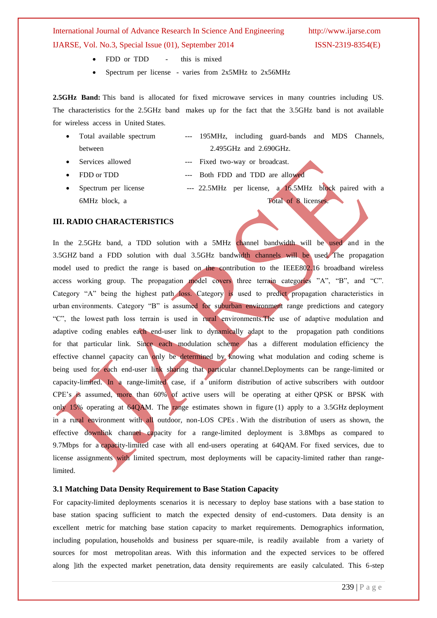- FDD or TDD this is mixed
- Spectrum per license varies from 2x5MHz to 2x56MHz

**2.5GHz Band:** This band is allocated for fixed microwave services in many countries including US. The characteristics for the 2.5GHz band makes up for the fact that the 3.5GHz band is not available for wireless access in United States.

- Total available spectrum --- 195MHz, including guard-bands and MDS Channels, between 2.495GHz and 2.690GHz.
- Services allowed --- Fixed two-way or broadcast.
- FDD or TDD --- Both FDD and TDD are allowed
- Spectrum per license --- 22.5MHz per license, a 16.5MHz block paired with a 6MHz block, a Total of 8 licenses.

#### **III. RADIO CHARACTERISTICS**

In the 2.5GHz band, a TDD solution with a 5MHz channel bandwidth will be used and in the 3.5GHZ band a FDD solution with dual 3.5GHz bandwidth channels will be used. The propagation model used to predict the range is based on the contribution to the IEEE802.16 broadband wireless access working group. The propagation model covers three terrain categories "A", "B", and "C". Category "A" being the highest path loss. Category is used to predict propagation characteristics in urban environments. Category "B" is assumed for suburban environment range predictions and category "C", the lowest path loss terrain is used in rural environments.The use of adaptive modulation and adaptive coding enables each end-user link to dynamically adapt to the propagation path conditions for that particular link. Since each modulation scheme has a different modulation efficiency the effective channel capacity can only be determined by knowing what modulation and coding scheme is being used for each end-user link sharing that particular channel.Deployments can be range-limited or capacity-limited. In a range-limited case, if a uniform distribution of active subscribers with outdoor CPE's is assumed, more than 60% of active users will be operating at either QPSK or BPSK with only 15% operating at 64QAM. The range estimates shown in figure (1) apply to a 3.5GHz deployment in a rural environment with all outdoor, non-LOS CPEs . With the distribution of users as shown, the effective downlink channel capacity for a range-limited deployment is 3.8Mbps as compared to 9.7Mbps for a capacity-limited case with all end-users operating at 64QAM. For fixed services, due to license assignments with limited spectrum, most deployments will be capacity-limited rather than rangelimited.

#### **3.1 Matching Data Density Requirement to Base Station Capacity**

For capacity-limited deployments scenarios it is necessary to deploy base stations with a base station to base station spacing sufficient to match the expected density of end-customers. Data density is an excellent metric for matching base station capacity to market requirements. Demographics information, including population, households and business per square-mile, is readily available from a variety of sources for most metropolitan areas. With this information and the expected services to be offered along ]ith the expected market penetration, data density requirements are easily calculated. This 6-step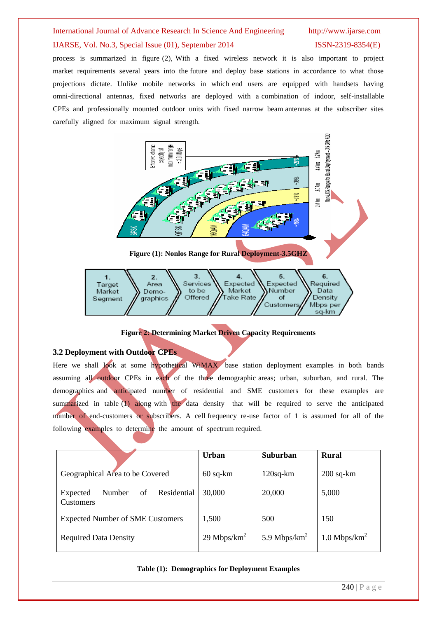## International Journal of Advance Research In Science And Engineering http://www.ijarse.com IJARSE, Vol. No.3, Special Issue (01), September 2014 ISSN-2319-8354(E)

process is summarized in figure (2), With a fixed wireless network it is also important to project market requirements several years into the future and deploy base stations in accordance to what those projections dictate. Unlike mobile networks in which end users are equipped with handsets having omni-directional antennas, fixed networks are deployed with a combination of indoor, self-installable CPEs and professionally mounted outdoor units with fixed narrow beam antennas at the subscriber sites carefully aligned for maximum signal strength.



| Target<br>Area<br>Market<br>Demo-<br>graphics<br>Segment | Services <sup>7</sup><br>Market<br>to be<br>//Take Rate /<br>Offered | W. Expected W. Expected W. Required<br><b>W</b> Number | Data<br>Density<br>Customers// Mbps per<br>sa-km |
|----------------------------------------------------------|----------------------------------------------------------------------|--------------------------------------------------------|--------------------------------------------------|
|----------------------------------------------------------|----------------------------------------------------------------------|--------------------------------------------------------|--------------------------------------------------|

#### **Figure 2: Determining Market Driven Capacity Requirements**

#### **3.2 Deployment with Outdoor CPEs**

Here we shall look at some hypothetical WiMAX base station deployment examples in both bands assuming all outdoor CPEs in each of the three demographic areas; urban, suburban, and rural. The demographics and anticipated number of residential and SME customers for these examples are summarized in table (1) along with the data density that will be required to serve the anticipated number of end-customers or subscribers. A cell frequency re-use factor of 1 is assumed for all of the following examples to determine the amount of spectrum required.

|                                                      | Urban           | <b>Suburban</b>  | <b>Rural</b>               |
|------------------------------------------------------|-----------------|------------------|----------------------------|
| Geographical Area to be Covered                      | $60$ sq- $km$   | $120$ sq- $km$   | $200$ sq- $km$             |
| Residential<br>Number<br>of<br>Expected<br>Customers | 30,000          | 20,000           | 5,000                      |
| <b>Expected Number of SME Customers</b>              | 1,500           | 500              | 150                        |
| <b>Required Data Density</b>                         | 29 Mbps/ $km^2$ | 5.9 Mbps/ $km^2$ | $1.0$ Mbps/km <sup>2</sup> |

#### **Table (1): Demographics for Deployment Examples**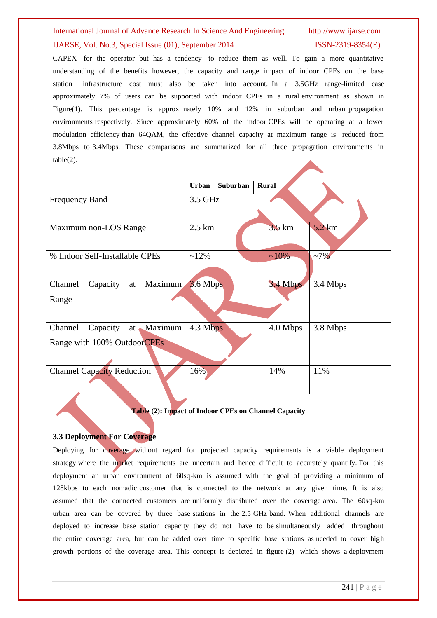## International Journal of Advance Research In Science And Engineering http://www.ijarse.com IJARSE, Vol. No.3, Special Issue (01), September 2014 ISSN-2319-8354(E)

CAPEX for the operator but has a tendency to reduce them as well. To gain a more quantitative understanding of the benefits however, the capacity and range impact of indoor CPEs on the base station infrastructure cost must also be taken into account. In a 3.5GHz range-limited case approximately 7% of users can be supported with indoor CPEs in a rural environment as shown in Figure(1). This percentage is approximately 10% and 12% in suburban and urban propagation environments respectively. Since approximately 60% of the indoor CPEs will be operating at a lower modulation efficiency than 64QAM, the effective channel capacity at maximum range is reduced from 3.8Mbps to 3.4Mbps. These comparisons are summarized for all three propagation environments in table(2).

|                                                               | Urban            | <b>Suburban</b> | <b>Rural</b>     |                  |
|---------------------------------------------------------------|------------------|-----------------|------------------|------------------|
| <b>Frequency Band</b>                                         | 3.5 GHz          |                 |                  |                  |
|                                                               |                  |                 |                  |                  |
| Maximum non-LOS Range                                         | $2.5 \text{ km}$ |                 | $3.5 \text{ km}$ | $5.2 \text{ km}$ |
| % Indoor Self-Installable CPEs                                | $~12\%$          |                 | $~10\%$          | $~17\%$          |
| at Maximum<br>Channel<br>Capacity<br>Range                    | 3.6 Mbps         |                 | 3.4 Mbps         | 3.4 Mbps         |
| Capacity at Maximum<br>Channel<br>Range with 100% OutdoorCPEs | 4.3 Mbps         |                 | 4.0 Mbps         | 3.8 Mbps         |
| <b>Channel Capacity Reduction</b>                             | 16%              |                 | 14%              | 11%              |

#### **Table (2): Impact of Indoor CPEs on Channel Capacity**

#### **3.3 Deployment For Coverage**

Deploying for coverage without regard for projected capacity requirements is a viable deployment strategy where the market requirements are uncertain and hence difficult to accurately quantify. For this deployment an urban environment of 60sq-km is assumed with the goal of providing a minimum of 128kbps to each nomadic customer that is connected to the network at any given time. It is also assumed that the connected customers are uniformly distributed over the coverage area. The 60sq-km urban area can be covered by three base stations in the 2.5 GHz band. When additional channels are deployed to increase base station capacity they do not have to be simultaneously added throughout the entire coverage area, but can be added over time to specific base stations as needed to cover high growth portions of the coverage area. This concept is depicted in figure (2) which shows a deployment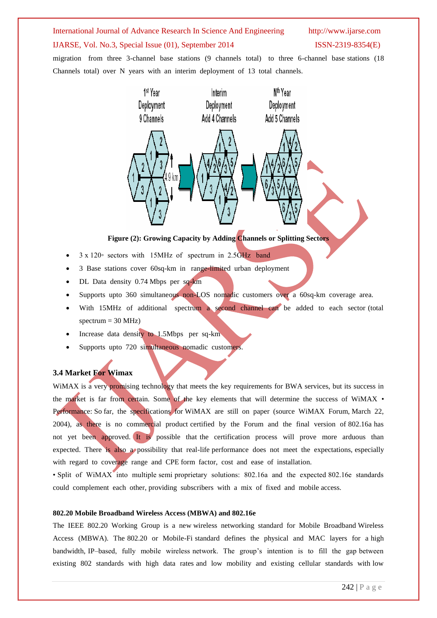# International Journal of Advance Research In Science And Engineering http://www.ijarse.com

#### IJARSE, Vol. No.3, Special Issue (01), September 2014 ISSN-2319-8354(E)

migration from three 3-channel base stations (9 channels total) to three 6-channel base stations (18 Channels total) over N years with an interim deployment of 13 total channels.



#### **Figure (2): Growing Capacity by Adding Channels or Splitting Sectors**

- 3 x 120◦ sectors with 15MHz of spectrum in 2.5GHz band
- 3 Base stations cover 60sq-km in range-limited urban deployment
- DL Data density 0.74 Mbps per sq-km
- Supports upto 360 simultaneous non-LOS nomadic customers over a 60sq-km coverage area.
- With 15MHz of additional spectrum a second channel can be added to each sector (total spectrum  $= 30$  MHz)
- Increase data density to 1.5Mbps per sq-km
- Supports upto 720 simultaneous nomadic customers.

#### **3.4 Market For Wimax**

WiMAX is a very promising technology that meets the key requirements for BWA services, but its success in the market is far from certain. Some of the key elements that will determine the success of WiMAX • Performance: So far, the specifications for WiMAX are still on paper (source WiMAX Forum, March 22, 2004), as there is no commercial product certified by the Forum and the final version of 802.16a has not yet been approved. It is possible that the certification process will prove more arduous than expected. There is also a possibility that real-life performance does not meet the expectations, especially with regard to coverage range and CPE form factor, cost and ease of installation.

• Split of WiMAX into multiple semi proprietary solutions: 802.16a and the expected 802.16e standards could complement each other, providing subscribers with a mix of fixed and mobile access.

#### **802.20 Mobile Broadband Wireless Access (MBWA) and 802.16e**

The IEEE 802.20 Working Group is a new wireless networking standard for Mobile Broadband Wireless Access (MBWA). The 802.20 or Mobile-Fi standard defines the physical and MAC layers for a high bandwidth, IP–based, fully mobile wireless network. The group's intention is to fill the gap between existing 802 standards with high data rates and low mobility and existing cellular standards with low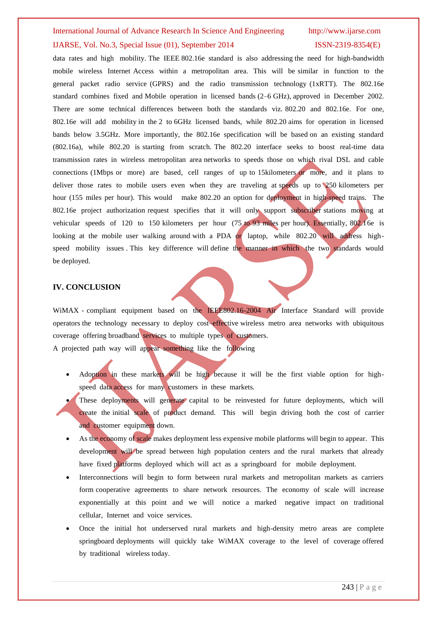#### International Journal of Advance Research In Science And Engineering http://www.ijarse.com

#### IJARSE, Vol. No.3, Special Issue (01), September 2014 ISSN-2319-8354(E)

data rates and high mobility. The IEEE 802.16e standard is also addressing the need for high-bandwidth mobile wireless Internet Access within a metropolitan area. This will be similar in function to the general packet radio service (GPRS) and the radio transmission technology (1xRTT). The 802.16e standard combines fixed and Mobile operation in licensed bands (2–6 GHz), approved in December 2002. There are some technical differences between both the standards viz. 802.20 and 802.16e. For one, 802.16e will add mobility in the 2 to 6GHz licensed bands, while 802.20 aims for operation in licensed bands below 3.5GHz. More importantly, the 802.16e specification will be based on an existing standard (802.16a), while 802.20 is starting from scratch. The 802.20 interface seeks to boost real-time data transmission rates in wireless metropolitan area networks to speeds those on which rival DSL and cable connections (1Mbps or more) are based, cell ranges of up to 15kilometers or more, and it plans to deliver those rates to mobile users even when they are traveling at speeds up to 250 kilometers per hour (155 miles per hour). This would make 802.20 an option for deployment in high-speed trains. The 802.16e project authorization request specifies that it will only support subscriber stations moving at vehicular speeds of 120 to 150 kilometers per hour (75 to 93 miles per hour). Essentially, 802.16e is looking at the mobile user walking around with a PDA or laptop, while 802.20 will address highspeed mobility issues. This key difference will define the manner in which the two standards would be deployed.

#### **IV. CONCLUSION**

WiMAX - compliant equipment based on the IEEE802.16-2004 Air Interface Standard will provide operators the technology necessary to deploy cost–effective wireless metro area networks with ubiquitous coverage offering broadband services to multiple types of customers. A projected path way will appear something like the following

- Adoption in these markets will be high because it will be the first viable option for highspeed data access for many customers in these markets.
- These deployments will generate capital to be reinvested for future deployments, which will create the initial scale of product demand. This will begin driving both the cost of carrier and customer equipment down.
- As the economy of scale makes deployment less expensive mobile platforms will begin to appear. This development will be spread between high population centers and the rural markets that already have fixed platforms deployed which will act as a springboard for mobile deployment.
- Interconnections will begin to form between rural markets and metropolitan markets as carriers form cooperative agreements to share network resources. The economy of scale will increase exponentially at this point and we will notice a marked negative impact on traditional cellular, Internet and voice services.
- Once the initial hot underserved rural markets and high-density metro areas are complete springboard deployments will quickly take WiMAX coverage to the level of coverage offered by traditional wireless today.